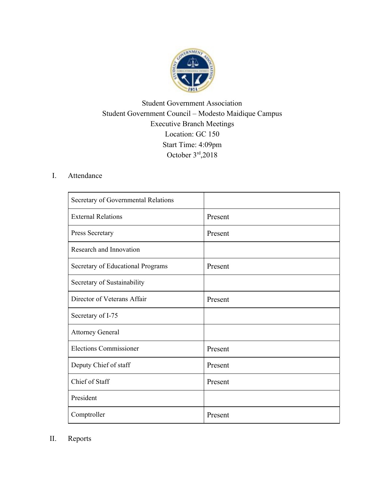

## Student Government Association Student Government Council – Modesto Maidique Campus Executive Branch Meetings Location: GC 150 Start Time: 4:09pm October 3rd ,2018

## I. Attendance

| Secretary of Governmental Relations |         |
|-------------------------------------|---------|
| <b>External Relations</b>           | Present |
| Press Secretary                     | Present |
| Research and Innovation             |         |
| Secretary of Educational Programs   | Present |
| Secretary of Sustainability         |         |
| Director of Veterans Affair         | Present |
| Secretary of I-75                   |         |
| <b>Attorney General</b>             |         |
| <b>Elections Commissioner</b>       | Present |
| Deputy Chief of staff               | Present |
| Chief of Staff                      | Present |
| President                           |         |
| Comptroller                         | Present |

II. Reports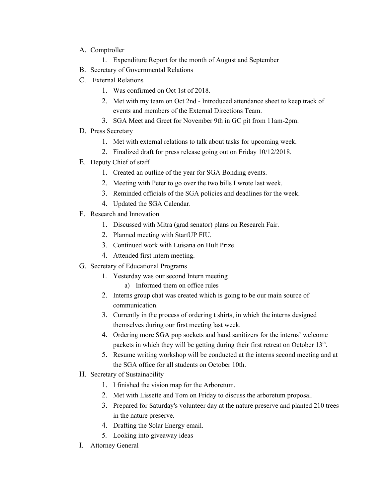- A. Comptroller
	- 1. Expenditure Report for the month of August and September
- B. Secretary of Governmental Relations
- C. External Relations
	- 1. Was confirmed on Oct 1st of 2018.
	- 2. Met with my team on Oct 2nd Introduced attendance sheet to keep track of events and members of the External Directions Team.
	- 3. SGA Meet and Greet for November 9th in GC pit from 11am-2pm.
- D. Press Secretary
	- 1. Met with external relations to talk about tasks for upcoming week.
	- 2. Finalized draft for press release going out on Friday 10/12/2018.
- E. Deputy Chief of staff
	- 1. Created an outline of the year for SGA Bonding events.
	- 2. Meeting with Peter to go over the two bills I wrote last week.
	- 3. Reminded officials of the SGA policies and deadlines for the week.
	- 4. Updated the SGA Calendar.
- F. Research and Innovation
	- 1. Discussed with Mitra (grad senator) plans on Research Fair.
	- 2. Planned meeting with StartUP FIU.
	- 3. Continued work with Luisana on Hult Prize.
	- 4. Attended first intern meeting.
- G. Secretary of Educational Programs
	- 1. Yesterday was our second Intern meeting
		- a) Informed them on office rules
	- 2. Interns group chat was created which is going to be our main source of communication.
	- 3. Currently in the process of ordering t shirts, in which the interns designed themselves during our first meeting last week.
	- 4. Ordering more SGA pop sockets and hand sanitizers for the interns' welcome packets in which they will be getting during their first retreat on October 13<sup>th</sup>.
	- 5. Resume writing workshop will be conducted at the interns second meeting and at the SGA office for all students on October 10th.
- H. Secretary of Sustainability
	- 1. I finished the vision map for the Arboretum.
	- 2. Met with Lissette and Tom on Friday to discuss the arboretum proposal.
	- 3. Prepared for Saturday's volunteer day at the nature preserve and planted 210 trees in the nature preserve.
	- 4. Drafting the Solar Energy email.
	- 5. Looking into giveaway ideas
- I. Attorney General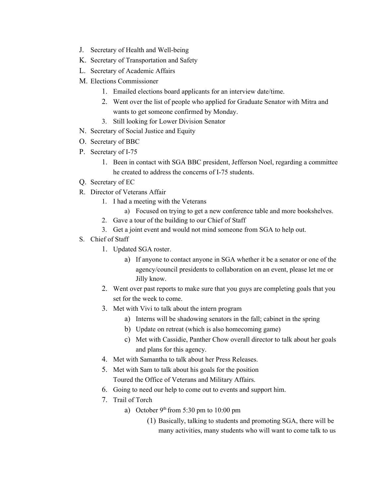- J. Secretary of Health and Well-being
- K. Secretary of Transportation and Safety
- L. Secretary of Academic Affairs
- M. Elections Commissioner
	- 1. Emailed elections board applicants for an interview date/time.
	- 2. Went over the list of people who applied for Graduate Senator with Mitra and wants to get someone confirmed by Monday.
	- 3. Still looking for Lower Division Senator
- N. Secretary of Social Justice and Equity
- O. Secretary of BBC
- P. Secretary of I-75
	- 1. Been in contact with SGA BBC president, Jefferson Noel, regarding a committee he created to address the concerns of I-75 students.
- Q. Secretary of EC
- R. Director of Veterans Affair
	- 1. I had a meeting with the Veterans
		- a) Focused on trying to get a new conference table and more bookshelves.
	- 2. Gave a tour of the building to our Chief of Staff
	- 3. Get a joint event and would not mind someone from SGA to help out.
- S. Chief of Staff
	- 1. Updated SGA roster.
		- a) If anyone to contact anyone in SGA whether it be a senator or one of the agency/council presidents to collaboration on an event, please let me or Jilly know.
	- 2. Went over past reports to make sure that you guys are completing goals that you set for the week to come.
	- 3. Met with Vivi to talk about the intern program
		- a) Interns will be shadowing senators in the fall; cabinet in the spring
		- b) Update on retreat (which is also homecoming game)
		- c) Met with Cassidie, Panther Chow overall director to talk about her goals and plans for this agency.
	- 4. Met with Samantha to talk about her Press Releases.
	- 5. Met with Sam to talk about his goals for the position Toured the Office of Veterans and Military Affairs.
	- 6. Going to need our help to come out to events and support him.
	- 7. Trail of Torch
		- a) October  $9<sup>th</sup>$  from 5:30 pm to 10:00 pm
			- (1) Basically, talking to students and promoting SGA, there will be many activities, many students who will want to come talk to us